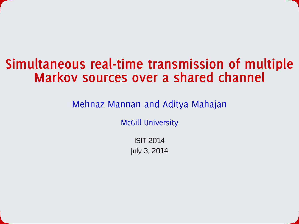#### **Simultaneous real-time transmission of multiple Markov sources over a shared channel**

Mehnaz Mannan and Aditya Mahajan

McGill University

ISIT 2014 July 3, 2014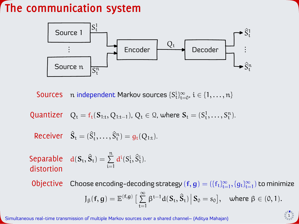### **The communication system**



Sources  $\pi$  independent Markov sources  $\{S_t^i\}_{t=0}^\infty, \, i\in\{1,\dots,n\}$ 

Quantizer  $Q_t = f_t(S_{1:t}, Q_{1:t-1}), Q_t \in \mathcal{Q}$ , where  $S_t = (S_t^1, \ldots, S_t^n)$ .

Receiver  $\hat{S}_t = (\hat{S}_t^1, ..., \hat{S}_t^n) = g_t(Q_{1:t}).$ 

Separable  $d(S_t, \hat{S}_t) =$ distortion n  $\sum$  $i=1$  $d^i(S_t^i, \hat{S}_t^i)$ .

Objective Choose encoding-decoding strategy  $(f, g) = (\{f_t\}_{t=1}^{\infty}, \{g_t\}_{t=1}^{\infty})$  to minimize  $J_{\beta}(\mathbf{f}, \mathbf{g}) = \mathbb{E}^{(\mathbf{f}, \mathbf{g})} \left[ \; \sum\limits^{\infty} \right]$  $\sum$  $t=1$  $\beta^{t-1} d(S_t, \hat{S}_t) \, \Big| \, S_0 = s_0 \big], \quad \text{where } \beta \in (0,1).$ 

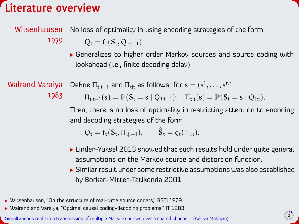#### **Literature overview**

#### Witsenhausen No loss of optimality in using encoding strategies of the form

1979

 $Q_t = f_t(S_t, Q_{1:t-1})$ 

Generalizes to higher order Markov sources and source coding with lookahead (i.e., finite decoding delay)

Walrand-Varaiya 1983 Define  $\Pi_{\mathsf{t}|\mathsf{t}-1}$  and  $\Pi_{\mathsf{t}|\mathsf{t}}$  as follows: for  $\mathbf{s} = (s^1, \dots, s^n)$  $\Pi_{t|t-1}(s) = \mathbb{P}(S_t = s | Q_{1:t-1}); \quad \Pi_{t|t}(s) = \mathbb{P}(S_t = s | Q_{1:t}).$ 

> Then, there is no loss of optimality in restricting attention to encoding and decoding strategies of the form

 $Q_t = f_t(S_t, \Pi_{t|t-1}),$   $\hat{S}_t = g_t(\Pi_{t|t}).$ 

- Linder-Yüksel 2013 showed that such results hold under quite general assumptions on the Markov source and distortion function.
- Similar result under some restrictive assumptions was also established by Borkar-Mitter-Tatikonda 2001.



<sup>▶</sup> Witsenhausen, "On the structure of real-time source coders," BST| 1979.

 $\triangleright$  Walrand and Varaiya, "Optimal causal coding-decoding problems," IT 1983.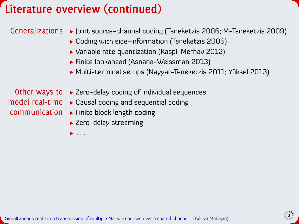### **Literature overview (continued)**

#### Generalizations  $\rightarrow$  Joint source-channel coding (Teneketzis 2006; M-Teneketzis 2009)

- Coding with side-information (Teneketzis 2006)
- Variable rate quantization (Kaspi-Merhav 2012)
- Finite lookahead (Asnana-Weissman 2013)
- Multi-terminal setups (Nayyar-Teneketzis 2011; Yüksel 2013).

- Other ways to ► Zero-delay coding of individual sequences
- model real-time Causal coding and sequential coding
- communication Finite block length coding
	- ▶ Zero-delay streaming

 $\blacktriangleright$  . . . .

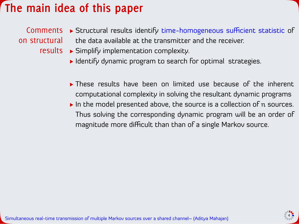### **The main idea of this paper**



- Identify dynamic program to search for optimal strategies.
- **These results have been on limited use because of the inherent** computational complexity in solving the resultant dynamic programs
- In the model presented above, the source is a collection of  $n$  sources. Thus solving the corresponding dynamic program will be an order of magnitude more difficult than than of a single Markov source.

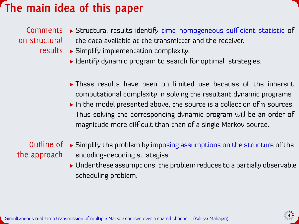#### **The main idea of this paper**



- ▶ Identify dynamic program to search for optimal strategies.
- **These results have been on limited use because of the inherent** computational complexity in solving the resultant dynamic programs
- In the model presented above, the source is a collection of  $n$  sources. Thus solving the corresponding dynamic program will be an order of magnitude more difficult than than of a single Markov source.

the approach

- Outline of ► Simplify the problem by imposing assumptions on the structure of the encoding-decoding strategies.
	- Under these assumptions, the problem reduces to a partially observable scheduling problem.

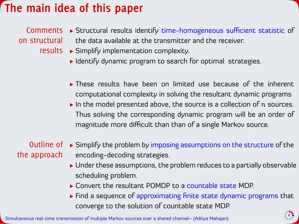### **The main idea of this paper**



- ▶ Identify dynamic program to search for optimal strategies.
- ▶ These results have been on limited use because of the inherent computational complexity in solving the resultant dynamic programs
- $\blacktriangleright$  In the model presented above, the source is a collection of n sources. Thus solving the corresponding dynamic program will be an order of magnitude more difficult than than of a single Markov source.

# the approach

- Outline of ► Simplify the problem by imposing assumptions on the structure of the encoding-decoding strategies.
	- Under these assumptions, the problem reduces to a partially observable scheduling problem.
	- ▶ Convert the resultant POMDP to a countable state MDP.
	- Find a sequence of approximating finite state dynamic programs that converge to the solution of countable state MDP.

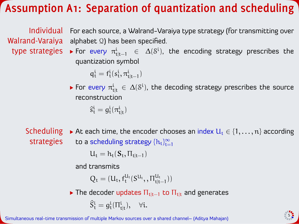## **Assumption A1: Separation of quantization and scheduling**

Individual For each source, a Walrand-Varaiya type strategy (for transmitting over Walrand-Varaiya alphabet 2) has been specified.

type strategies  $\;\blacktriangleright$  For every  $\pi^{\mathfrak{i}}_{\mathfrak{t}|\mathfrak{t}-1} \;\;\in\;\; \Delta({\rm S}^{\mathfrak{i}})$ , the encoding strategy prescribes the quantization symbol

 $q_t^i = f_t^i(s_t^i, \pi_{t|t-1}^i)$ 

For every  $\pi^i_{\sf{tl}}\ \in\, \Delta({\rm S}^{\rm i})$ , the decoding strategy prescribes the source reconstruction

 $\hat{s}^i_t = g^i_t(\pi^i_{t|t})$ 

Scheduling → At each time, the encoder chooses an index  $U_t \in \{1,\ldots,n\}$  according strategies to a scheduling strategy  $\{h_t\}_{t=1}^\infty$ 

$$
U_t = h_t(S_t, \Pi_{t|t-1})
$$

and transmits

 $Q_t = (U_t, f_t^{U_t}(S^{U_t},, \Pi_{t|t-1}^{U_t}))$ 

 $\triangleright$  The decoder updates  $\Pi_{tl-1}$  to  $\Pi_{tl}$  and generates

$$
\widehat{S}^i_t = g^i_t(\Pi^i_{t|t}), \quad \forall i.
$$

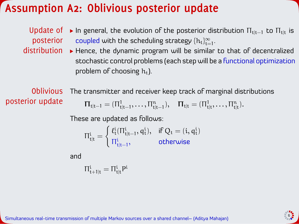#### **Assumption A2: Oblivious posterior update**

- Update of  $\triangleright$  In general, the evolution of the posterior distribution  $\Pi_{t|t-1}$  to  $\Pi_{t|t}$  is posterior coupled with the scheduling strategy  $\{h_t\}_{t=1}^{\infty}$ .
- distribution Hence, the dynamic program will be similar to that of decentralized stochastic control problems (each step will be a functional optimization problem of choosing  $h_t$ ).

Oblivious posterior update

The transmitter and receiver keep track of marginal distributions

$$
\Pi_{t|t-1}=(\Pi_{t|t-1}^1,\ldots,\Pi_{t|t-1}^n),\quad \Pi_{t|t}=(\Pi_{t|t}^1,\ldots,\Pi_{t|t}^n).
$$

These are updated as follows:

$$
\Pi_{t|t}^i = \begin{cases} \, \ell_t^i(\Pi_{t|t-1}^i, q_t^i), & \text{if } Q_t = (i, q_t^i) \\ \, \Pi_{t|t-1}^i, & \text{otherwise} \end{cases}
$$

and

$$
\Pi_{t+1|t}^i=\Pi_{t|t}^iP^i
$$

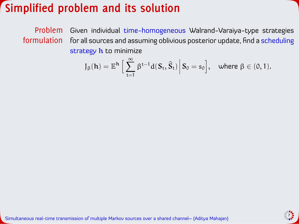#### **Simplified problem and its solution**

Problem formulation Given individual time-homogeneous Walrand-Varaiya-type strategies for all sources and assuming oblivious posterior update, find a scheduling strategy  $h$  to minimize

$$
J_{\beta}(\boldsymbol{h})=\mathbb{E}^{\boldsymbol{h}}\Big[\sum_{t=1}^{\infty}\beta^{t-1}d(S_{t},\widehat{S}_{t})\,\Big|\,S_{0}=s_{0}\Big],\quad\text{where }\beta\in(0,1).
$$

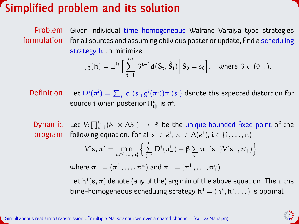#### **Simplified problem and its solution**

Problem formulation Given individual time-homogeneous Walrand-Varaiya-type strategies for all sources and assuming oblivious posterior update, find a scheduling strategy  $h$  to minimize

$$
J_{\beta}(\boldsymbol{h})=\mathbb{E}^{\boldsymbol{h}}\,\Big[\sum_{t=1}^{\infty}\,\beta^{t-1}d(\boldsymbol{S}_t,\boldsymbol{\hat{S}}_t)\,\Big|\,\boldsymbol{S}_0=s_0\Big],\quad\text{where }\beta\in(0,1).
$$

**Definition** Let  $D^i(\pi^i) = \sum_{s^i} d^i(s^i, g^i(\pi^i)) \pi^i(s^i)$  denote the expected distortion for source  $\mathrm{i}$  when posterior  $\Pi_{\mathsf{t}\vert\mathsf{t}}^\mathrm{i}$  is  $\pi^\mathrm{i}.$ 

Dynamic program Let  $\mathrm{V:}\prod_{\mathrm{i}=1}^{\mathrm{n}}( \mathrm{S}^{\mathrm{i}} \times \Delta \mathrm{S}^{\mathrm{i}}) \, \rightarrow \, \mathbb{R}$  be the unique bounded fixed point of the following equation: for all  $s^i \in \mathcal{S}^i$ ,  $\pi^i \in \Delta(\mathcal{S}^i)$ ,  $i \in \{1, \ldots, n\}$ 

$$
V(\boldsymbol{s},\boldsymbol{\pi})=\underset{u\in\{1,\dots,n\}}{\text{min}}\Big\{\sum_{i=1}^n D^i(\pi_-^i)+\beta\sum_{\boldsymbol{s}_+}\pi_+(\boldsymbol{s}_+)V(\boldsymbol{s}_+,\boldsymbol{\pi}_+)\Big\}
$$

where  $\bm{\pi}_{-} = (\pi_{-}^{1}, \ldots, \pi_{-}^{n})$  and  $\bm{\pi}_{+} = (\pi_{+}^{1}, \ldots, \pi_{+}^{n}).$ 

Let  $\mathrm{h}^*(\mathbf{s},\bm{\pi})$  denote (any of the) arg min of the above equation. Then, the time-homogeneous scheduling strategy  $h^* = (h^*, h^*, \dots)$  is optimal.

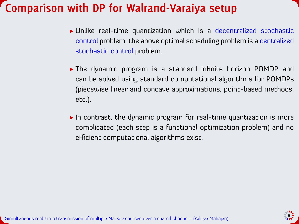#### **Comparison with DP for Walrand-Varaiya setup**

- Unlike real-time quantization which is a decentralized stochastic control problem, the above optimal scheduling problem is a centralized stochastic control problem.
- The dynamic program is a standard infinite horizon POMDP and can be solved using standard computational algorithms for POMDPs (piecewise linear and concave approximations, point-based methods, etc.).
- In contrast, the dynamic program for real-time quantization is more complicated (each step is a functional optimization problem) and no efficient computational algorithms exist.



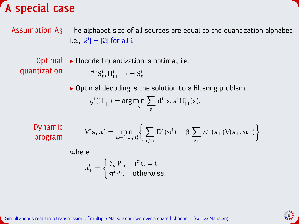#### **A special case**

Assumption A3 The alphabet size of all sources are equal to the quantization alphabet, i.e.,  $|\mathcal{S}^{\mathfrak{i}}| = |\mathfrak{Q}|$  for all  $\mathfrak{i}.$ 

Optimal quantization

▶ Uncoded quantization is optimal, i.e.,  $f^{i}(S_{t}^{i}, \Pi_{t|t-1}^{i}) = S_{t}^{i}$ 

▶ Optimal decoding is the solution to a filtering problem  $g^i(\Pi^i_{t|t}) = \arg \min_{\hat{s}} \sum_s d^i(s,\hat{s}) \Pi^i_{t|t}(s).$ 

Dynamic program

$$
V(\mathbf{s},\boldsymbol{\pi}) = \min_{\mathbf{u} \in \{1,\dots,n\}} \bigg\{ \sum_{i \neq \mathbf{u}} D^i(\pi^i) + \beta \sum_{\mathbf{s}_+} \pi_+(\mathbf{s}_+) V(\mathbf{s}_+,\boldsymbol{\pi}_+) \bigg\}
$$

where

$$
\pi^{\mathfrak{i}}_{+}=\begin{cases} \delta_{s^{\mathfrak{i}}}^{\phantom{\mathfrak{p}}\mathfrak{i}},& \text{ if } u=\mathfrak{i} \\ \pi^{\mathfrak{i}}\mathsf{P}^{\mathfrak{i}},& \text{ otherwise.}\end{cases}
$$

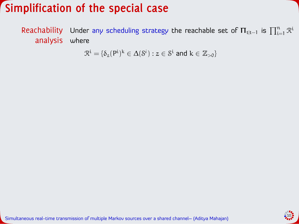#### **Simplification of the special case**

Reachability Under any scheduling strategy the reachable set of  $\Pi_{\mathsf{t}|\mathsf{t}-1}$  is  $\prod_{\mathsf{i}=1}^\mathsf{n} \mathcal{R}^\mathsf{i}$ analysis where

 $\mathcal{R}^{\mathfrak{i}}=\{\delta_{z}(\mathsf{P}^{\mathfrak{i}})^{k}\in \Delta(\mathcal{S}^{\mathfrak{i}}):z\in \mathcal{S}^{\mathfrak{i}}\ \textsf{and}\ k\in\mathbb{Z}_{>0}\}$ 

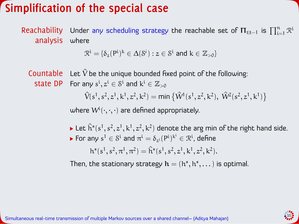#### **Simplification of the special case**

**Reachability** analysis Under any scheduling strategy the reachable set of  $\mathbf{\Pi}_{\mathrm{tlt}-1}$  is  $\prod_{\mathrm{i=1}}^{\mathrm{n}}\mathcal{R}^{\mathrm{i}}$ where

 $\mathcal{R}^{\mathfrak{i}}=\{\delta_{z}(\mathsf{P}^{\mathfrak{i}})^{k}\in \Delta(\mathcal{S}^{\mathfrak{i}}):z\in \mathcal{S}^{\mathfrak{i}}\ \textsf{and}\ k\in\mathbb{Z}_{>0}\}$ 

Countable state DP For any  $s^i, z^i \in \mathcal{S}^i$  and  $k^i \in \mathbb{Z}_{>0}$ Let  $\hat{V}$  be the unique bounded fixed point of the following:  $\hat{V}(s^1, s^2, z^1, k^1, z^2, k^2) = \min \{ \hat{W}^1(s^1, z^2, k^2), \ \hat{W}^2(s^2, z^1, k^1) \}$ 

where  $W^i(\cdot,\cdot,\cdot)$  are defined appropriately.

- Let  $\hat{h}^*(s^1, s^2, z^1, k^1, z^2, k^2)$  denote the arg min of the right hand side. For any  $s^1 \in \mathcal{S}^{\text{t}}$  and  $\pi^{\text{i}} = \delta_{z^{\text{i}}}(\mathsf{P}^{\text{i}})^{\text{k}^{\text{i}}} \in \mathcal{R}^{\text{i}}$ , define
	- $h^*(s^1, s^2, \pi^1, \pi^2) = \hat{h}^*(s^1, s^2, z^1, k^1, z^2, k^2).$

Then, the stationary strategy  $\mathbf{h} = (h^*, h^*, \dots)$  is optimal.

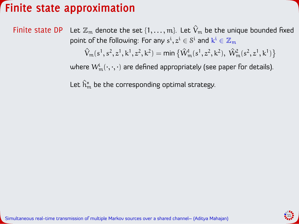### **Finite state approximation**

Finite state DP Let  $\mathbb{Z}_m$  denote the set  $\{1,\ldots,m\}$ . Let  $\hat{V}_m$  be the unique bounded fixed point of the following: For any  $s^{\mathfrak{i}}, z^{\mathfrak{i}} \in \mathcal{S}^{\mathfrak{i}}$  and  $\mathrm{k}^{\mathfrak{i}} \in \mathbb{Z}_{\mathfrak{m}}$ 

 $\hat{V}_{m}(s^1, s^2, z^1, k^1, z^2, k^2) = \min \left\{ \hat{W}_{m}^1(s^1, z^2, k^2), \ \hat{W}_{m}^2(s^2, z^1, k^1) \right\}$ 

where  $\overline{\mathcal{W}}_{\mathfrak{m}}^i(\cdot,\cdot,\cdot)$  are defined appropriately (see paper for details).

Let  $\hat{\mathsf{h}}_{\mathfrak{m}}^{*}$  be the corresponding optimal strategy.

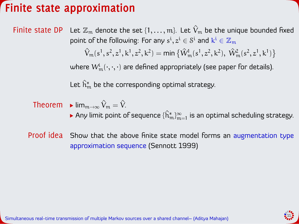### **Finite state approximation**

Finite state DP Let  $\mathbb{Z}_m$  denote the set  $\{1,\ldots,m\}$ . Let  $\hat{V}_m$  be the unique bounded fixed point of the following: For any  $s^{\mathfrak{i}}, z^{\mathfrak{i}} \in \mathcal{S}^{\mathfrak{i}}$  and  $\mathrm{k}^{\mathfrak{i}} \in \mathbb{Z}_{\mathfrak{m}}$  $\hat{V}_{m}(s^1, s^2, z^1, k^1, z^2, k^2) = \min \left\{ \hat{W}_{m}^1(s^1, z^2, k^2), \ \hat{W}_{m}^2(s^2, z^1, k^1) \right\}$ where  $\overline{\mathcal{W}}_{\mathfrak{m}}^i(\cdot,\cdot,\cdot)$  are defined appropriately (see paper for details).

Let  $\hat{\mathsf{h}}_{\mathfrak{m}}^{*}$  be the corresponding optimal strategy.

$$
\text{Theorem} \quad \blacktriangleright \lim_{m \to \infty} \hat{V}_m = \hat{V}.
$$

Any limit point of sequence  $\{ \hat{\bm{\mathsf{h}}}_\mathfrak{m}^\infty \}_{\mathfrak{m}=1}$  is an optimal scheduling strategy.

Proof idea Show that the above finite state model forms an augmentation type approximation sequence (Sennott 1999)

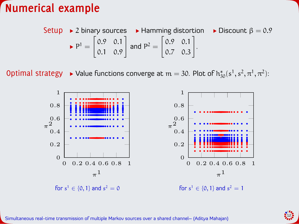#### **Numerical example**

Setup  $\rightarrow$  2 binary sources  $\rightarrow$  Hamming distortion  $\rightarrow$  Discount  $\beta = 0.9$  $P^1 =$  $\lfloor$ ∑.9 ∑.−  $0.1 \quad 0.9$ and  $P^2 =$  $\lfloor$ ∑.9 ∑.−  $0.7 \quad 0.3$ .

**Optimal strategy → Value functions converge at m = 30. Plot of**  $h_{30}^{*}(s^{1}, s^{2}, \pi^{1}, \pi^{2})$ **:**